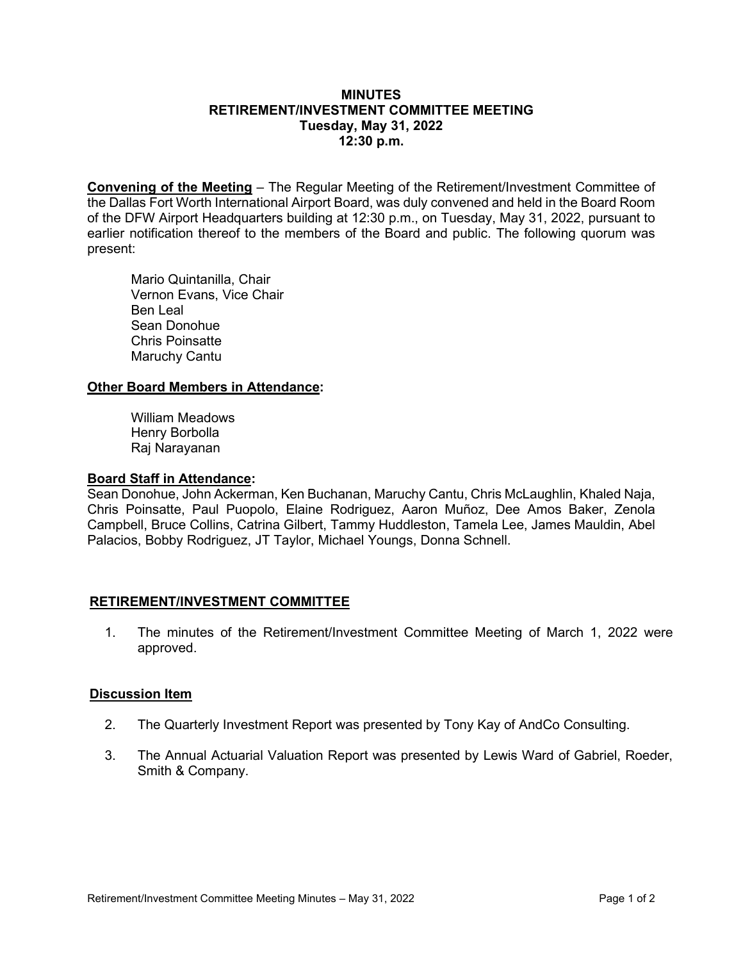## **MINUTES RETIREMENT/INVESTMENT COMMITTEE MEETING Tuesday, May 31, 2022 12:30 p.m.**

**Convening of the Meeting** – The Regular Meeting of the Retirement/Investment Committee of the Dallas Fort Worth International Airport Board, was duly convened and held in the Board Room of the DFW Airport Headquarters building at 12:30 p.m., on Tuesday, May 31, 2022, pursuant to earlier notification thereof to the members of the Board and public. The following quorum was present:

Mario Quintanilla, Chair Vernon Evans, Vice Chair Ben Leal Sean Donohue Chris Poinsatte Maruchy Cantu

# **Other Board Members in Attendance:**

William Meadows Henry Borbolla Raj Narayanan

# **Board Staff in Attendance:**

Sean Donohue, John Ackerman, Ken Buchanan, Maruchy Cantu, Chris McLaughlin, Khaled Naja, Chris Poinsatte, Paul Puopolo, Elaine Rodriguez, Aaron Muñoz, Dee Amos Baker, Zenola Campbell, Bruce Collins, Catrina Gilbert, Tammy Huddleston, Tamela Lee, James Mauldin, Abel Palacios, Bobby Rodriguez, JT Taylor, Michael Youngs, Donna Schnell.

# **RETIREMENT/INVESTMENT COMMITTEE**

1. The minutes of the Retirement/Investment Committee Meeting of March 1, 2022 were approved.

# **Discussion Item**

- 2. The Quarterly Investment Report was presented by Tony Kay of AndCo Consulting.
- 3. The Annual Actuarial Valuation Report was presented by Lewis Ward of Gabriel, Roeder, Smith & Company.